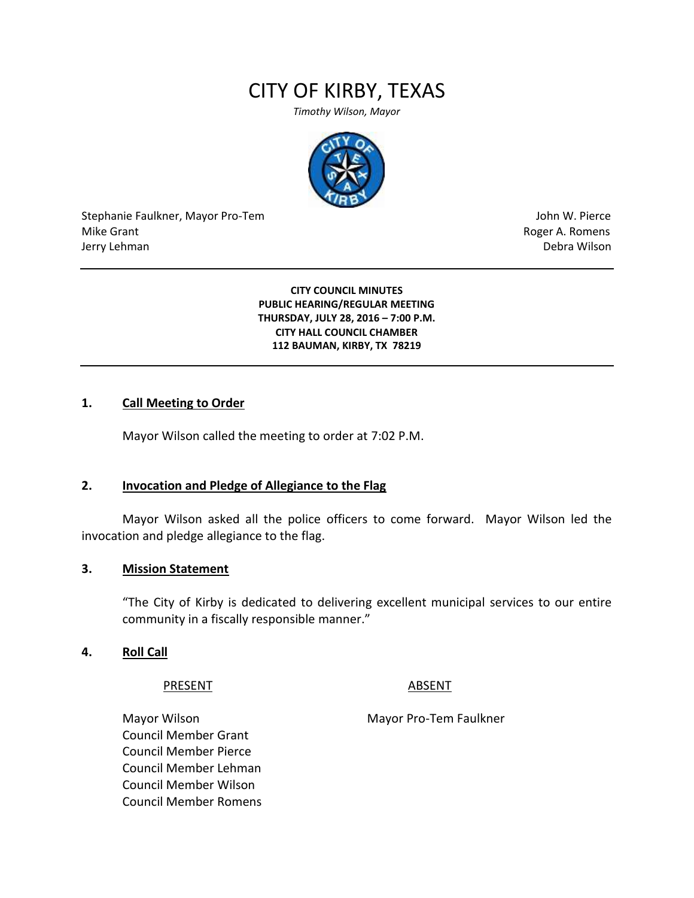# CITY OF KIRBY, TEXAS

*Timothy Wilson, Mayor*



Stephanie Faulkner, Mayor Pro-Tem John W. Pierce Mike Grant **Mike Grant** Roger A. Romens **Contract A. Romens Roger A. Romens** Jerry Lehman Debra Wilson

**CITY COUNCIL MINUTES PUBLIC HEARING/REGULAR MEETING THURSDAY, JULY 28, 2016 – 7:00 P.M. CITY HALL COUNCIL CHAMBER 112 BAUMAN, KIRBY, TX 78219**

#### **1. Call Meeting to Order**

Mayor Wilson called the meeting to order at 7:02 P.M.

#### **2. Invocation and Pledge of Allegiance to the Flag**

Mayor Wilson asked all the police officers to come forward. Mayor Wilson led the invocation and pledge allegiance to the flag.

#### **3. Mission Statement**

"The City of Kirby is dedicated to delivering excellent municipal services to our entire community in a fiscally responsible manner."

#### **4. Roll Call**

PRESENT ABSENT

Mayor Wilson Mayor Pro-Tem Faulkner Council Member Grant Council Member Pierce Council Member Lehman Council Member Wilson Council Member Romens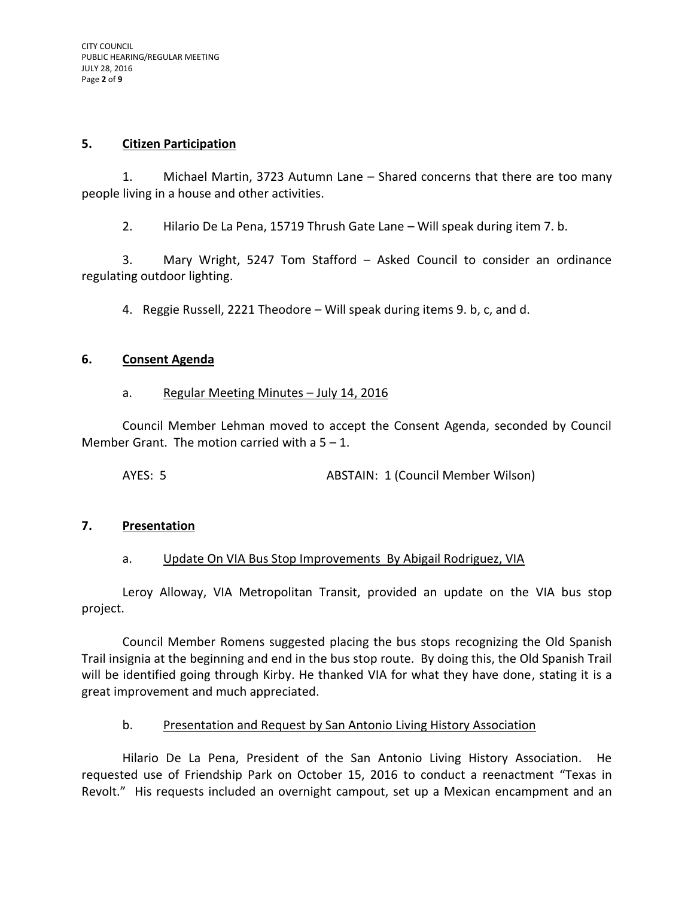# **5. Citizen Participation**

1. Michael Martin, 3723 Autumn Lane – Shared concerns that there are too many people living in a house and other activities.

2. Hilario De La Pena, 15719 Thrush Gate Lane – Will speak during item 7. b.

3. Mary Wright, 5247 Tom Stafford – Asked Council to consider an ordinance regulating outdoor lighting.

4. Reggie Russell, 2221 Theodore – Will speak during items 9. b, c, and d.

# **6. Consent Agenda**

# a. Regular Meeting Minutes - July 14, 2016

Council Member Lehman moved to accept the Consent Agenda, seconded by Council Member Grant. The motion carried with a  $5 - 1$ .

AYES: 5 ABSTAIN: 1 (Council Member Wilson)

# **7. Presentation**

# a. Update On VIA Bus Stop Improvements By Abigail Rodriguez, VIA

Leroy Alloway, VIA Metropolitan Transit, provided an update on the VIA bus stop project.

Council Member Romens suggested placing the bus stops recognizing the Old Spanish Trail insignia at the beginning and end in the bus stop route. By doing this, the Old Spanish Trail will be identified going through Kirby. He thanked VIA for what they have done, stating it is a great improvement and much appreciated.

# b. Presentation and Request by San Antonio Living History Association

Hilario De La Pena, President of the San Antonio Living History Association. He requested use of Friendship Park on October 15, 2016 to conduct a reenactment "Texas in Revolt." His requests included an overnight campout, set up a Mexican encampment and an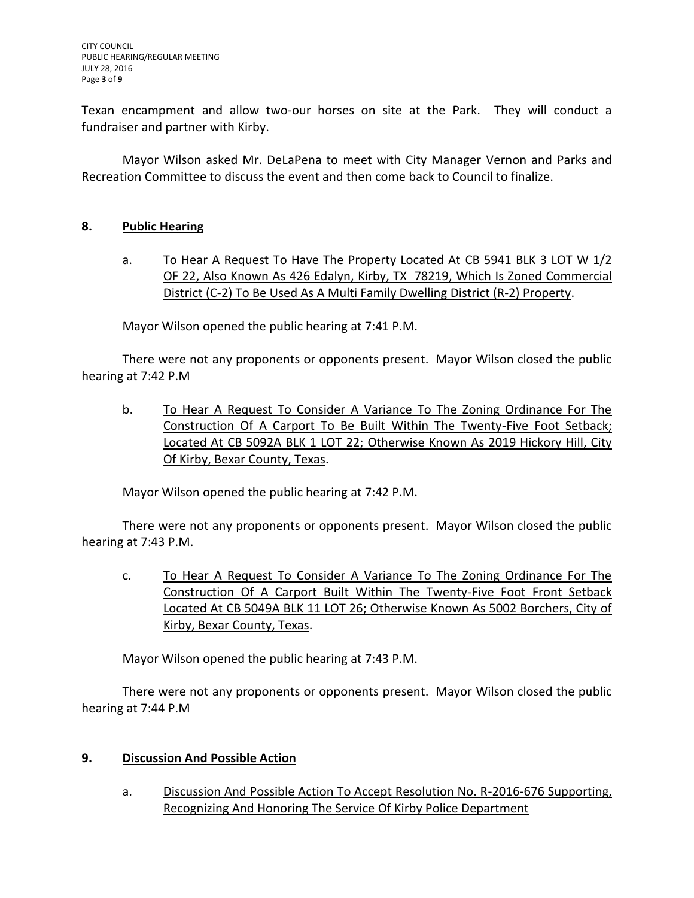Texan encampment and allow two-our horses on site at the Park. They will conduct a fundraiser and partner with Kirby.

Mayor Wilson asked Mr. DeLaPena to meet with City Manager Vernon and Parks and Recreation Committee to discuss the event and then come back to Council to finalize.

# **8. Public Hearing**

a. To Hear A Request To Have The Property Located At CB 5941 BLK 3 LOT W 1/2 OF 22, Also Known As 426 Edalyn, Kirby, TX 78219, Which Is Zoned Commercial District (C-2) To Be Used As A Multi Family Dwelling District (R-2) Property.

Mayor Wilson opened the public hearing at 7:41 P.M.

There were not any proponents or opponents present. Mayor Wilson closed the public hearing at 7:42 P.M

b. To Hear A Request To Consider A Variance To The Zoning Ordinance For The Construction Of A Carport To Be Built Within The Twenty-Five Foot Setback; Located At CB 5092A BLK 1 LOT 22; Otherwise Known As 2019 Hickory Hill, City Of Kirby, Bexar County, Texas.

Mayor Wilson opened the public hearing at 7:42 P.M.

There were not any proponents or opponents present. Mayor Wilson closed the public hearing at 7:43 P.M.

c. To Hear A Request To Consider A Variance To The Zoning Ordinance For The Construction Of A Carport Built Within The Twenty-Five Foot Front Setback Located At CB 5049A BLK 11 LOT 26; Otherwise Known As 5002 Borchers, City of Kirby, Bexar County, Texas.

Mayor Wilson opened the public hearing at 7:43 P.M.

There were not any proponents or opponents present. Mayor Wilson closed the public hearing at 7:44 P.M

# **9. Discussion And Possible Action**

a. Discussion And Possible Action To Accept Resolution No. R-2016-676 Supporting, Recognizing And Honoring The Service Of Kirby Police Department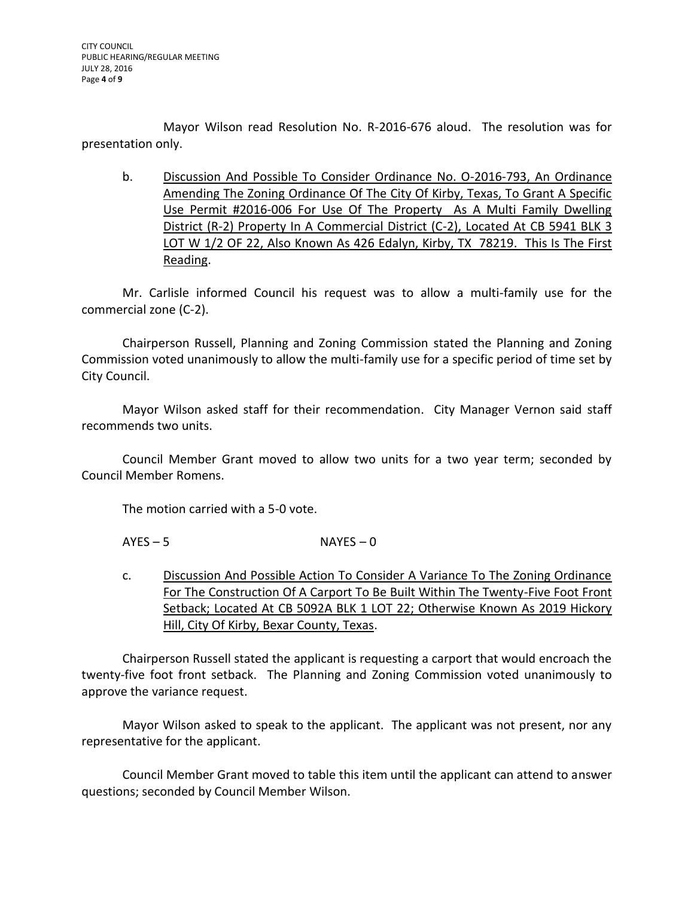Mayor Wilson read Resolution No. R-2016-676 aloud. The resolution was for presentation only.

b. Discussion And Possible To Consider Ordinance No. O-2016-793, An Ordinance Amending The Zoning Ordinance Of The City Of Kirby, Texas, To Grant A Specific Use Permit #2016-006 For Use Of The Property As A Multi Family Dwelling District (R-2) Property In A Commercial District (C-2), Located At CB 5941 BLK 3 LOT W 1/2 OF 22, Also Known As 426 Edalyn, Kirby, TX 78219. This Is The First Reading.

Mr. Carlisle informed Council his request was to allow a multi-family use for the commercial zone (C-2).

Chairperson Russell, Planning and Zoning Commission stated the Planning and Zoning Commission voted unanimously to allow the multi-family use for a specific period of time set by City Council.

Mayor Wilson asked staff for their recommendation. City Manager Vernon said staff recommends two units.

Council Member Grant moved to allow two units for a two year term; seconded by Council Member Romens.

The motion carried with a 5-0 vote.

 $AYES - 5$  NAYES – 0

c. Discussion And Possible Action To Consider A Variance To The Zoning Ordinance For The Construction Of A Carport To Be Built Within The Twenty-Five Foot Front Setback; Located At CB 5092A BLK 1 LOT 22; Otherwise Known As 2019 Hickory Hill, City Of Kirby, Bexar County, Texas.

Chairperson Russell stated the applicant is requesting a carport that would encroach the twenty-five foot front setback. The Planning and Zoning Commission voted unanimously to approve the variance request.

Mayor Wilson asked to speak to the applicant. The applicant was not present, nor any representative for the applicant.

Council Member Grant moved to table this item until the applicant can attend to answer questions; seconded by Council Member Wilson.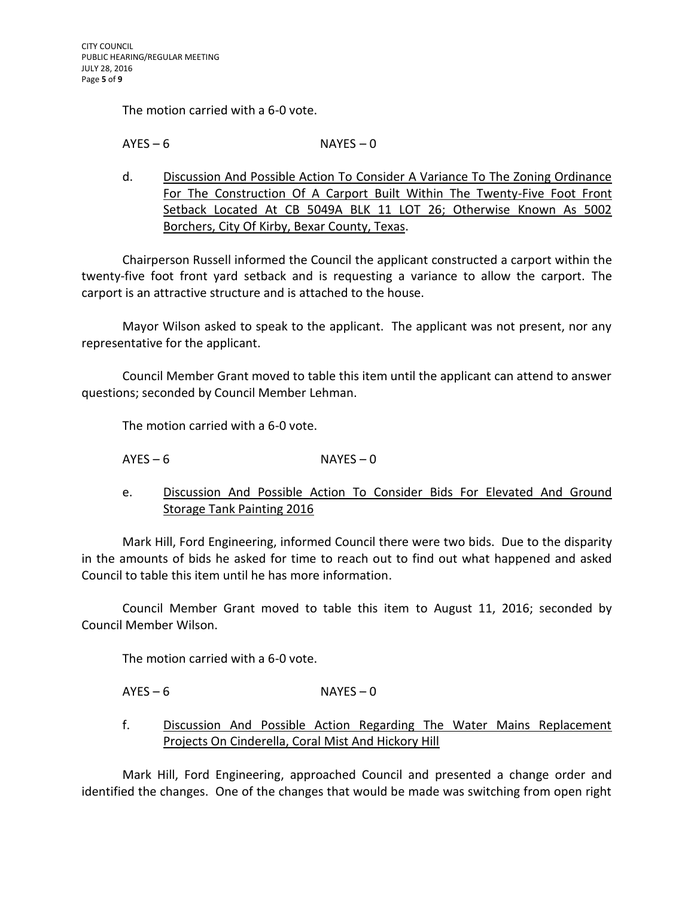The motion carried with a 6-0 vote.

 $AYES - 6$  NAYES – 0

d. Discussion And Possible Action To Consider A Variance To The Zoning Ordinance For The Construction Of A Carport Built Within The Twenty-Five Foot Front Setback Located At CB 5049A BLK 11 LOT 26; Otherwise Known As 5002 Borchers, City Of Kirby, Bexar County, Texas.

Chairperson Russell informed the Council the applicant constructed a carport within the twenty-five foot front yard setback and is requesting a variance to allow the carport. The carport is an attractive structure and is attached to the house.

Mayor Wilson asked to speak to the applicant. The applicant was not present, nor any representative for the applicant.

Council Member Grant moved to table this item until the applicant can attend to answer questions; seconded by Council Member Lehman.

The motion carried with a 6-0 vote.

 $AYES - 6$  NAYES – 0

e. Discussion And Possible Action To Consider Bids For Elevated And Ground Storage Tank Painting 2016

Mark Hill, Ford Engineering, informed Council there were two bids. Due to the disparity in the amounts of bids he asked for time to reach out to find out what happened and asked Council to table this item until he has more information.

Council Member Grant moved to table this item to August 11, 2016; seconded by Council Member Wilson.

The motion carried with a 6-0 vote.

 $AYES - 6$  NAYES – 0

f. Discussion And Possible Action Regarding The Water Mains Replacement Projects On Cinderella, Coral Mist And Hickory Hill

Mark Hill, Ford Engineering, approached Council and presented a change order and identified the changes. One of the changes that would be made was switching from open right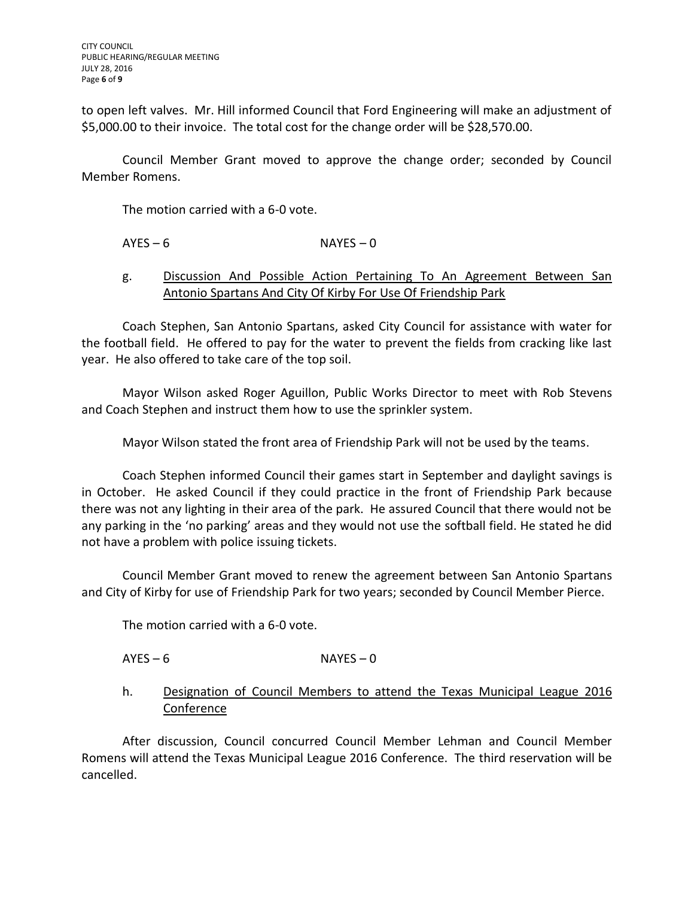to open left valves. Mr. Hill informed Council that Ford Engineering will make an adjustment of \$5,000.00 to their invoice. The total cost for the change order will be \$28,570.00.

Council Member Grant moved to approve the change order; seconded by Council Member Romens.

The motion carried with a 6-0 vote.

# $AYES - 6$  NAYES – 0

# g. Discussion And Possible Action Pertaining To An Agreement Between San Antonio Spartans And City Of Kirby For Use Of Friendship Park

Coach Stephen, San Antonio Spartans, asked City Council for assistance with water for the football field. He offered to pay for the water to prevent the fields from cracking like last year. He also offered to take care of the top soil.

Mayor Wilson asked Roger Aguillon, Public Works Director to meet with Rob Stevens and Coach Stephen and instruct them how to use the sprinkler system.

Mayor Wilson stated the front area of Friendship Park will not be used by the teams.

Coach Stephen informed Council their games start in September and daylight savings is in October. He asked Council if they could practice in the front of Friendship Park because there was not any lighting in their area of the park. He assured Council that there would not be any parking in the 'no parking' areas and they would not use the softball field. He stated he did not have a problem with police issuing tickets.

Council Member Grant moved to renew the agreement between San Antonio Spartans and City of Kirby for use of Friendship Park for two years; seconded by Council Member Pierce.

The motion carried with a 6-0 vote.

# $AYES - 6$  NAYES – 0

h. Designation of Council Members to attend the Texas Municipal League 2016 Conference

After discussion, Council concurred Council Member Lehman and Council Member Romens will attend the Texas Municipal League 2016 Conference. The third reservation will be cancelled.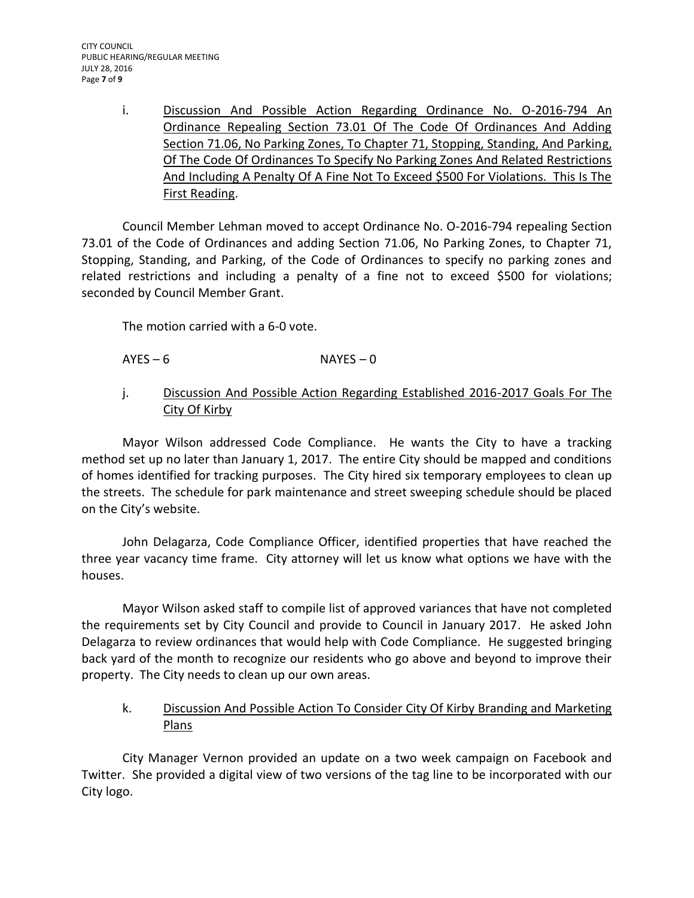i. Discussion And Possible Action Regarding Ordinance No. O-2016-794 An Ordinance Repealing Section 73.01 Of The Code Of Ordinances And Adding Section 71.06, No Parking Zones, To Chapter 71, Stopping, Standing, And Parking, Of The Code Of Ordinances To Specify No Parking Zones And Related Restrictions And Including A Penalty Of A Fine Not To Exceed \$500 For Violations. This Is The First Reading.

Council Member Lehman moved to accept Ordinance No. O-2016-794 repealing Section 73.01 of the Code of Ordinances and adding Section 71.06, No Parking Zones, to Chapter 71, Stopping, Standing, and Parking, of the Code of Ordinances to specify no parking zones and related restrictions and including a penalty of a fine not to exceed \$500 for violations; seconded by Council Member Grant.

The motion carried with a 6-0 vote.

- $AYES 6$  NAYES 0
- j. Discussion And Possible Action Regarding Established 2016-2017 Goals For The City Of Kirby

Mayor Wilson addressed Code Compliance. He wants the City to have a tracking method set up no later than January 1, 2017. The entire City should be mapped and conditions of homes identified for tracking purposes. The City hired six temporary employees to clean up the streets. The schedule for park maintenance and street sweeping schedule should be placed on the City's website.

John Delagarza, Code Compliance Officer, identified properties that have reached the three year vacancy time frame. City attorney will let us know what options we have with the houses.

Mayor Wilson asked staff to compile list of approved variances that have not completed the requirements set by City Council and provide to Council in January 2017. He asked John Delagarza to review ordinances that would help with Code Compliance. He suggested bringing back yard of the month to recognize our residents who go above and beyond to improve their property. The City needs to clean up our own areas.

k. Discussion And Possible Action To Consider City Of Kirby Branding and Marketing Plans

City Manager Vernon provided an update on a two week campaign on Facebook and Twitter. She provided a digital view of two versions of the tag line to be incorporated with our City logo.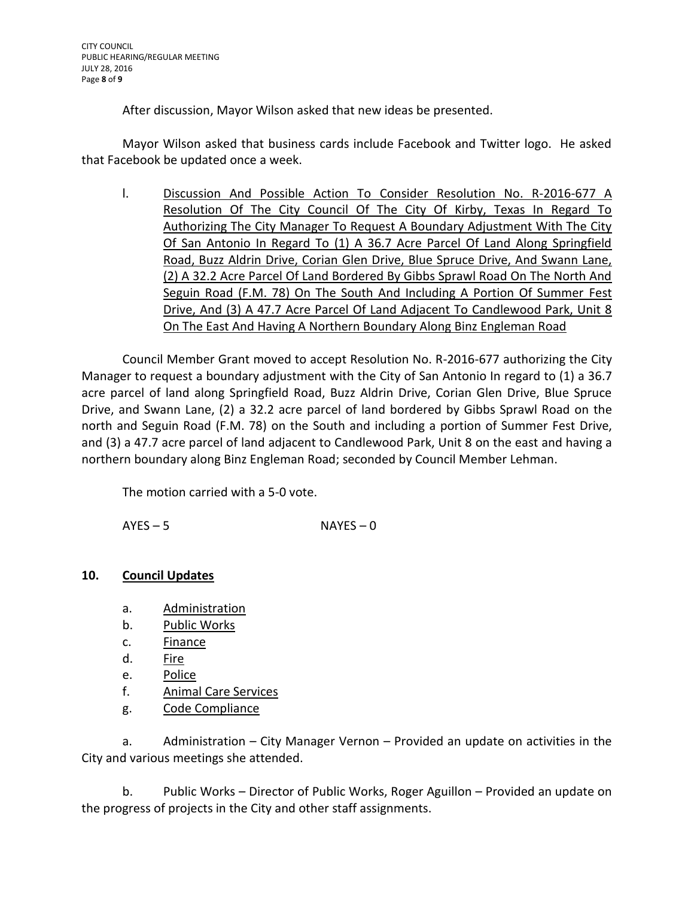After discussion, Mayor Wilson asked that new ideas be presented.

Mayor Wilson asked that business cards include Facebook and Twitter logo. He asked that Facebook be updated once a week.

l. Discussion And Possible Action To Consider Resolution No. R-2016-677 A Resolution Of The City Council Of The City Of Kirby, Texas In Regard To Authorizing The City Manager To Request A Boundary Adjustment With The City Of San Antonio In Regard To (1) A 36.7 Acre Parcel Of Land Along Springfield Road, Buzz Aldrin Drive, Corian Glen Drive, Blue Spruce Drive, And Swann Lane, (2) A 32.2 Acre Parcel Of Land Bordered By Gibbs Sprawl Road On The North And Seguin Road (F.M. 78) On The South And Including A Portion Of Summer Fest Drive, And (3) A 47.7 Acre Parcel Of Land Adjacent To Candlewood Park, Unit 8 On The East And Having A Northern Boundary Along Binz Engleman Road

Council Member Grant moved to accept Resolution No. R-2016-677 authorizing the City Manager to request a boundary adjustment with the City of San Antonio In regard to (1) a 36.7 acre parcel of land along Springfield Road, Buzz Aldrin Drive, Corian Glen Drive, Blue Spruce Drive, and Swann Lane, (2) a 32.2 acre parcel of land bordered by Gibbs Sprawl Road on the north and Seguin Road (F.M. 78) on the South and including a portion of Summer Fest Drive, and (3) a 47.7 acre parcel of land adjacent to Candlewood Park, Unit 8 on the east and having a northern boundary along Binz Engleman Road; seconded by Council Member Lehman.

The motion carried with a 5-0 vote.

 $AYES - 5$  NAYES – 0

# **10. Council Updates**

- a. Administration
- b. Public Works
- c. Finance
- d. Fire
- e. Police
- f. Animal Care Services
- g. Code Compliance

a. Administration – City Manager Vernon – Provided an update on activities in the City and various meetings she attended.

b. Public Works – Director of Public Works, Roger Aguillon – Provided an update on the progress of projects in the City and other staff assignments.